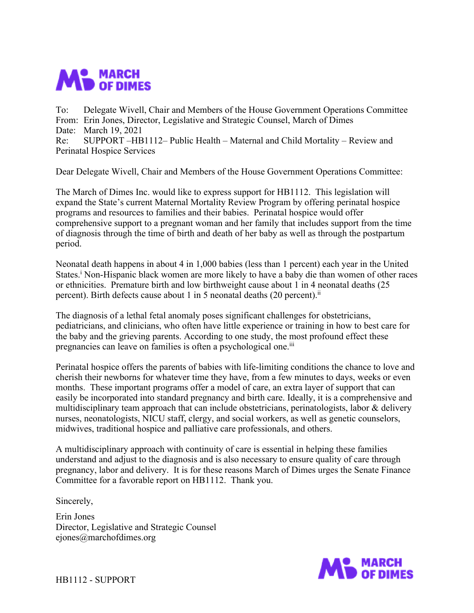

To: Delegate Wivell, Chair and Members of the House Government Operations Committee From: Erin Jones, Director, Legislative and Strategic Counsel, March of Dimes Date: March 19, 2021 Re: SUPPORT –HB1112– Public Health – Maternal and Child Mortality – Review and Perinatal Hospice Services

Dear Delegate Wivell, Chair and Members of the House Government Operations Committee:

The March of Dimes Inc. would like to express support for HB1112. This legislation will expand the State's current Maternal Mortality Review Program by offering perinatal hospice programs and resources to families and their babies. Perinatal hospice would offer comprehensive support to a pregnant woman and her family that includes support from the time of diagnosis through the time of birth and death of her baby as well as through the postpartum period.

Neonatal death happens in about 4 in 1,000 babies (less than 1 percent) each year in the United States.<sup>i</sup> Non-Hispanic black women are more likely to have a baby die than women of other races or ethnicities. Premature birth and low birthweight cause about 1 in 4 neonatal deaths (25 percent). Birth defects cause about 1 in 5 neonatal deaths (20 percent).<sup>ii</sup>

The diagnosis of a lethal fetal anomaly poses significant challenges for obstetricians, pediatricians, and clinicians, who often have little experience or training in how to best care for the baby and the grieving parents. According to one study, the most profound effect these pregnancies can leave on families is often a psychological one.iii

Perinatal hospice offers the parents of babies with life-limiting conditions the chance to love and cherish their newborns for whatever time they have, from a few minutes to days, weeks or even months. These important programs offer a model of care, an extra layer of support that can easily be incorporated into standard pregnancy and birth care. Ideally, it is a comprehensive and multidisciplinary team approach that can include obstetricians, perinatologists, labor & delivery nurses, neonatologists, NICU staff, clergy, and social workers, as well as genetic counselors, midwives, traditional hospice and palliative care professionals, and others.

A multidisciplinary approach with continuity of care is essential in helping these families understand and adjust to the diagnosis and is also necessary to ensure quality of care through pregnancy, labor and delivery. It is for these reasons March of Dimes urges the Senate Finance Committee for a favorable report on HB1112. Thank you.

Sincerely,

Erin Jones Director, Legislative and Strategic Counsel ejones@marchofdimes.org



HB1112 - SUPPORT